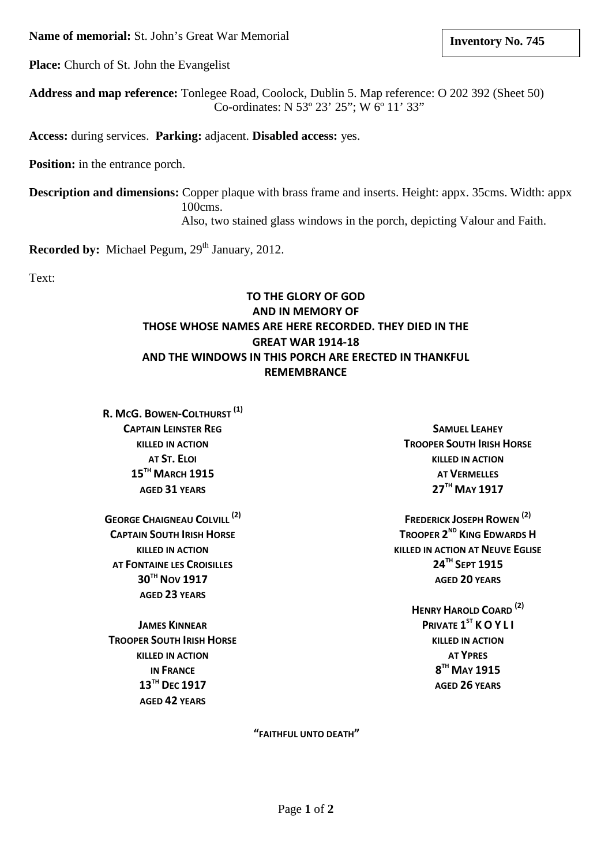**Name of memorial:** St. John's Great War Memorial

**Place:** Church of St. John the Evangelist

**Address and map reference:** Tonlegee Road, Coolock, Dublin 5. Map reference: O 202 392 (Sheet 50) Co-ordinates: N 53º 23' 25"; W 6º 11' 33"

**Access:** during services. **Parking:** adjacent. **Disabled access:** yes.

**Position:** in the entrance porch.

**Description and dimensions:** Copper plaque with brass frame and inserts. Height: appx. 35cms. Width: appx 100cms. Also, two stained glass windows in the porch, depicting Valour and Faith.

**Recorded by:** Michael Pegum, 29<sup>th</sup> January, 2012.

Text:

## **TO THE GLORY OF GOD AND IN MEMORY OF THOSE WHOSE NAMES ARE HERE RECORDED. THEY DIED IN THE GREAT WAR 1914-18 AND THE WINDOWS IN THIS PORCH ARE ERECTED IN THANKFUL REMEMBRANCE**

**R. MCG. BOWEN-COLTHURST (1) CAPTAIN LEINSTER REG KILLED IN ACTION AT ST. ELOI 15TH MARCH 1915 AGED 31 YEARS**

**GEORGE CHAIGNEAU COLVILL (2) CAPTAIN SOUTH IRISH HORSE KILLED IN ACTION AT FONTAINE LES CROISILLES 30TH NOV 1917 AGED 23 YEARS**

**JAMES KINNEAR TROOPER SOUTH IRISH HORSE KILLED IN ACTION IN FRANCE 13TH DEC 1917 AGED 42 YEARS**

**SAMUEL LEAHEY TROOPER SOUTH IRISH HORSE KILLED IN ACTION AT VERMELLES 27TH MAY 1917**

**FREDERICK JOSEPH ROWEN (2) TROOPER 2ND KING EDWARDS H KILLED IN ACTION AT NEUVE EGLISE 24TH SEPT 1915 AGED 20 YEARS**

> **HENRY HAROLD COARD (2) PRIVATE 1ST K O Y L I KILLED IN ACTION AT YPRES 8TH MAY 1915 AGED 26 YEARS**

**"FAITHFUL UNTO DEATH"**